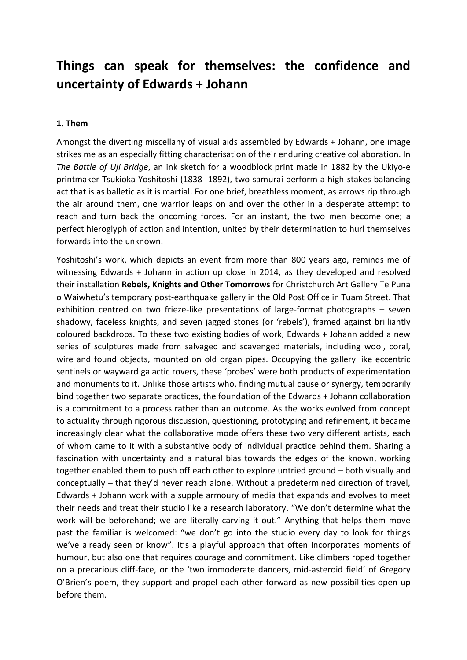## **Things can speak for themselves: the confidence and uncertainty of Edwards + Johann**

## **1. Them**

Amongst the diverting miscellany of visual aids assembled by Edwards + Johann, one image strikes me as an especially fitting characterisation of their enduring creative collaboration. In *The Battle of Uji Bridge*, an ink sketch for a woodblock print made in 1882 by the Ukiyo-e printmaker Tsukioka Yoshitoshi (1838 -1892), two samurai perform a high-stakes balancing act that is as balletic as it is martial. For one brief, breathless moment, as arrows rip through the air around them, one warrior leaps on and over the other in a desperate attempt to reach and turn back the oncoming forces. For an instant, the two men become one; a perfect hieroglyph of action and intention, united by their determination to hurl themselves forwards into the unknown.

Yoshitoshi's work, which depicts an event from more than 800 years ago, reminds me of witnessing Edwards + Johann in action up close in 2014, as they developed and resolved their installation **Rebels, Knights and Other Tomorrows** for Christchurch Art Gallery Te Puna o Waiwhetu's temporary post-earthquake gallery in the Old Post Office in Tuam Street. That exhibition centred on two frieze-like presentations of large-format photographs – seven shadowy, faceless knights, and seven jagged stones (or 'rebels'), framed against brilliantly coloured backdrops. To these two existing bodies of work, Edwards + Johann added a new series of sculptures made from salvaged and scavenged materials, including wool, coral, wire and found objects, mounted on old organ pipes. Occupying the gallery like eccentric sentinels or wayward galactic rovers, these 'probes' were both products of experimentation and monuments to it. Unlike those artists who, finding mutual cause or synergy, temporarily bind together two separate practices, the foundation of the Edwards + Johann collaboration is a commitment to a process rather than an outcome. As the works evolved from concept to actuality through rigorous discussion, questioning, prototyping and refinement, it became increasingly clear what the collaborative mode offers these two very different artists, each of whom came to it with a substantive body of individual practice behind them. Sharing a fascination with uncertainty and a natural bias towards the edges of the known, working together enabled them to push off each other to explore untried ground – both visually and conceptually – that they'd never reach alone. Without a predetermined direction of travel, Edwards + Johann work with a supple armoury of media that expands and evolves to meet their needs and treat their studio like a research laboratory. "We don't determine what the work will be beforehand; we are literally carving it out." Anything that helps them move past the familiar is welcomed: "we don't go into the studio every day to look for things we've already seen or know". It's a playful approach that often incorporates moments of humour, but also one that requires courage and commitment. Like climbers roped together on a precarious cliff-face, or the 'two immoderate dancers, mid-asteroid field' of Gregory O'Brien's poem, they support and propel each other forward as new possibilities open up before them.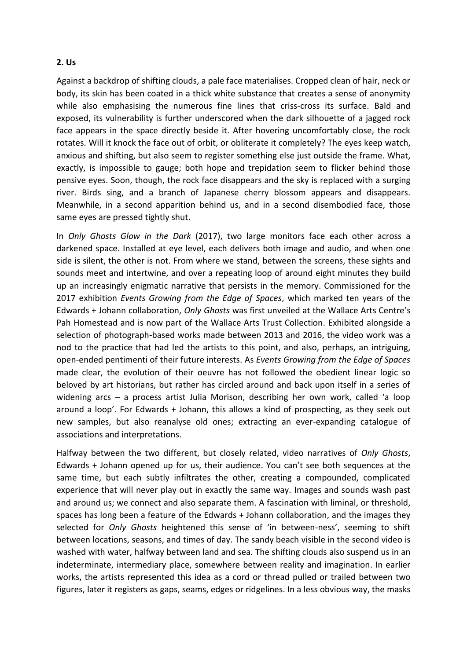## **2. Us**

Against a backdrop of shifting clouds, a pale face materialises. Cropped clean of hair, neck or body, its skin has been coated in a thick white substance that creates a sense of anonymity while also emphasising the numerous fine lines that criss-cross its surface. Bald and exposed, its vulnerability is further underscored when the dark silhouette of a jagged rock face appears in the space directly beside it. After hovering uncomfortably close, the rock rotates. Will it knock the face out of orbit, or obliterate it completely? The eyes keep watch, anxious and shifting, but also seem to register something else just outside the frame. What, exactly, is impossible to gauge; both hope and trepidation seem to flicker behind those pensive eyes. Soon, though, the rock face disappears and the sky is replaced with a surging river. Birds sing, and a branch of Japanese cherry blossom appears and disappears. Meanwhile, in a second apparition behind us, and in a second disembodied face, those same eyes are pressed tightly shut.

In *Only Ghosts Glow in the Dark* (2017), two large monitors face each other across a darkened space. Installed at eye level, each delivers both image and audio, and when one side is silent, the other is not. From where we stand, between the screens, these sights and sounds meet and intertwine, and over a repeating loop of around eight minutes they build up an increasingly enigmatic narrative that persists in the memory. Commissioned for the 2017 exhibition *Events Growing from the Edge of Spaces*, which marked ten years of the Edwards + Johann collaboration, *Only Ghosts* was first unveiled at the Wallace Arts Centre's Pah Homestead and is now part of the Wallace Arts Trust Collection. Exhibited alongside a selection of photograph-based works made between 2013 and 2016, the video work was a nod to the practice that had led the artists to this point, and also, perhaps, an intriguing, open-ended pentimenti of their future interests. As *Events Growing from the Edge of Spaces* made clear, the evolution of their oeuvre has not followed the obedient linear logic so beloved by art historians, but rather has circled around and back upon itself in a series of widening arcs – a process artist Julia Morison, describing her own work, called 'a loop around a loop'. For Edwards + Johann, this allows a kind of prospecting, as they seek out new samples, but also reanalyse old ones; extracting an ever-expanding catalogue of associations and interpretations.

Halfway between the two different, but closely related, video narratives of *Only Ghosts*, Edwards + Johann opened up for us, their audience. You can't see both sequences at the same time, but each subtly infiltrates the other, creating a compounded, complicated experience that will never play out in exactly the same way. Images and sounds wash past and around us; we connect and also separate them. A fascination with liminal, or threshold, spaces has long been a feature of the Edwards + Johann collaboration, and the images they selected for *Only Ghosts* heightened this sense of 'in between-ness', seeming to shift between locations, seasons, and times of day. The sandy beach visible in the second video is washed with water, halfway between land and sea. The shifting clouds also suspend us in an indeterminate, intermediary place, somewhere between reality and imagination. In earlier works, the artists represented this idea as a cord or thread pulled or trailed between two figures, later it registers as gaps, seams, edges or ridgelines. In a less obvious way, the masks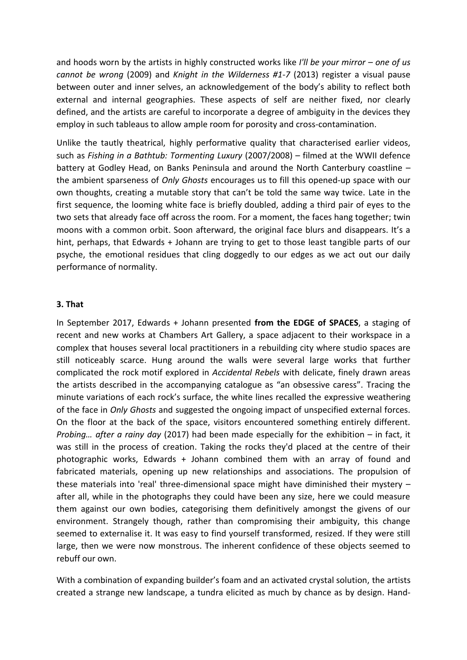and hoods worn by the artists in highly constructed works like *I'll be your mirror – one of us cannot be wrong* (2009) and *Knight in the Wilderness #1-7* (2013) register a visual pause between outer and inner selves, an acknowledgement of the body's ability to reflect both external and internal geographies. These aspects of self are neither fixed, nor clearly defined, and the artists are careful to incorporate a degree of ambiguity in the devices they employ in such tableaus to allow ample room for porosity and cross-contamination.

Unlike the tautly theatrical, highly performative quality that characterised earlier videos, such as *Fishing in a Bathtub: Tormenting Luxury* (2007/2008) – filmed at the WWII defence battery at Godley Head, on Banks Peninsula and around the North Canterbury coastline – the ambient sparseness of *Only Ghosts* encourages us to fill this opened-up space with our own thoughts, creating a mutable story that can't be told the same way twice. Late in the first sequence, the looming white face is briefly doubled, adding a third pair of eyes to the two sets that already face off across the room. For a moment, the faces hang together; twin moons with a common orbit. Soon afterward, the original face blurs and disappears. It's a hint, perhaps, that Edwards + Johann are trying to get to those least tangible parts of our psyche, the emotional residues that cling doggedly to our edges as we act out our daily performance of normality.

## **3. That**

In September 2017, Edwards + Johann presented **from the EDGE of SPACES**, a staging of recent and new works at Chambers Art Gallery, a space adjacent to their workspace in a complex that houses several local practitioners in a rebuilding city where studio spaces are still noticeably scarce. Hung around the walls were several large works that further complicated the rock motif explored in *Accidental Rebels* with delicate, finely drawn areas the artists described in the accompanying catalogue as "an obsessive caress". Tracing the minute variations of each rock's surface, the white lines recalled the expressive weathering of the face in *Only Ghosts* and suggested the ongoing impact of unspecified external forces. On the floor at the back of the space, visitors encountered something entirely different. *Probing… after a rainy day* (2017) had been made especially for the exhibition – in fact, it was still in the process of creation. Taking the rocks they'd placed at the centre of their photographic works, Edwards + Johann combined them with an array of found and fabricated materials, opening up new relationships and associations. The propulsion of these materials into 'real' three-dimensional space might have diminished their mystery – after all, while in the photographs they could have been any size, here we could measure them against our own bodies, categorising them definitively amongst the givens of our environment. Strangely though, rather than compromising their ambiguity, this change seemed to externalise it. It was easy to find yourself transformed, resized. If they were still large, then we were now monstrous. The inherent confidence of these objects seemed to rebuff our own.

With a combination of expanding builder's foam and an activated crystal solution, the artists created a strange new landscape, a tundra elicited as much by chance as by design. Hand